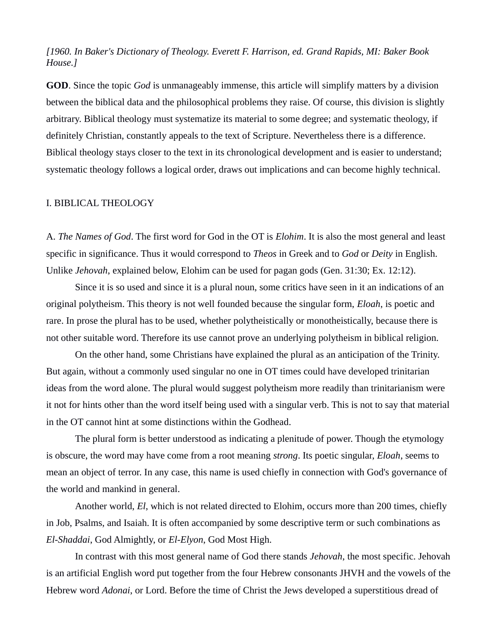*[1960. In Baker's Dictionary of Theology. Everett F. Harrison, ed. Grand Rapids, MI: Baker Book House.]*

**GOD**. Since the topic *God* is unmanageably immense, this article will simplify matters by a division between the biblical data and the philosophical problems they raise. Of course, this division is slightly arbitrary. Biblical theology must systematize its material to some degree; and systematic theology, if definitely Christian, constantly appeals to the text of Scripture. Nevertheless there is a difference. Biblical theology stays closer to the text in its chronological development and is easier to understand; systematic theology follows a logical order, draws out implications and can become highly technical.

## I. BIBLICAL THEOLOGY

A. *The Names of God*. The first word for God in the OT is *Elohim*. It is also the most general and least specific in significance. Thus it would correspond to *Theos* in Greek and to *God* or *Deity* in English. Unlike *Jehovah*, explained below, Elohim can be used for pagan gods (Gen. 31:30; Ex. 12:12).

Since it is so used and since it is a plural noun, some critics have seen in it an indications of an original polytheism. This theory is not well founded because the singular form, *Eloah*, is poetic and rare. In prose the plural has to be used, whether polytheistically or monotheistically, because there is not other suitable word. Therefore its use cannot prove an underlying polytheism in biblical religion.

On the other hand, some Christians have explained the plural as an anticipation of the Trinity. But again, without a commonly used singular no one in OT times could have developed trinitarian ideas from the word alone. The plural would suggest polytheism more readily than trinitarianism were it not for hints other than the word itself being used with a singular verb. This is not to say that material in the OT cannot hint at some distinctions within the Godhead.

The plural form is better understood as indicating a plenitude of power. Though the etymology is obscure, the word may have come from a root meaning *strong*. Its poetic singular, *Eloah*, seems to mean an object of terror. In any case, this name is used chiefly in connection with God's governance of the world and mankind in general.

Another world, *El*, which is not related directed to Elohim, occurs more than 200 times, chiefly in Job, Psalms, and Isaiah. It is often accompanied by some descriptive term or such combinations as *El-Shaddai*, God Almightly, or *El-Elyon*, God Most High.

In contrast with this most general name of God there stands *Jehovah*, the most specific. Jehovah is an artificial English word put together from the four Hebrew consonants JHVH and the vowels of the Hebrew word *Adonai*, or Lord. Before the time of Christ the Jews developed a superstitious dread of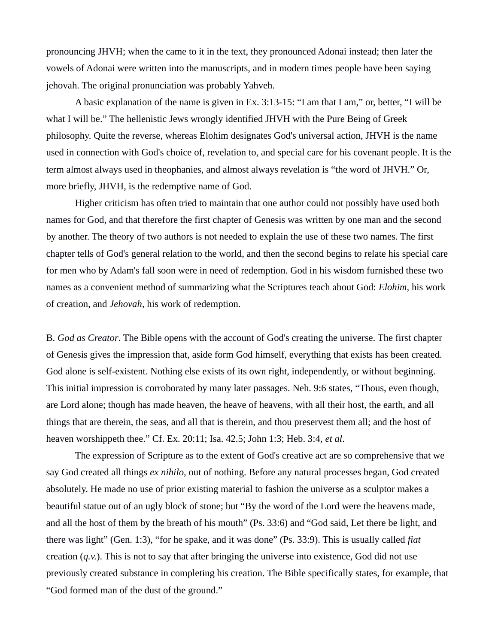pronouncing JHVH; when the came to it in the text, they pronounced Adonai instead; then later the vowels of Adonai were written into the manuscripts, and in modern times people have been saying jehovah. The original pronunciation was probably Yahveh.

A basic explanation of the name is given in Ex. 3:13-15: "I am that I am," or, better, "I will be what I will be." The hellenistic Jews wrongly identified JHVH with the Pure Being of Greek philosophy. Quite the reverse, whereas Elohim designates God's universal action, JHVH is the name used in connection with God's choice of, revelation to, and special care for his covenant people. It is the term almost always used in theophanies, and almost always revelation is "the word of JHVH." Or, more briefly, JHVH, is the redemptive name of God.

Higher criticism has often tried to maintain that one author could not possibly have used both names for God, and that therefore the first chapter of Genesis was written by one man and the second by another. The theory of two authors is not needed to explain the use of these two names. The first chapter tells of God's general relation to the world, and then the second begins to relate his special care for men who by Adam's fall soon were in need of redemption. God in his wisdom furnished these two names as a convenient method of summarizing what the Scriptures teach about God: *Elohim*, his work of creation, and *Jehovah*, his work of redemption.

B. *God as Creator*. The Bible opens with the account of God's creating the universe. The first chapter of Genesis gives the impression that, aside form God himself, everything that exists has been created. God alone is self-existent. Nothing else exists of its own right, independently, or without beginning. This initial impression is corroborated by many later passages. Neh. 9:6 states, "Thous, even though, are Lord alone; though has made heaven, the heave of heavens, with all their host, the earth, and all things that are therein, the seas, and all that is therein, and thou preservest them all; and the host of heaven worshippeth thee." Cf. Ex. 20:11; Isa. 42.5; John 1:3; Heb. 3:4, *et al*.

The expression of Scripture as to the extent of God's creative act are so comprehensive that we say God created all things *ex nihilo*, out of nothing. Before any natural processes began, God created absolutely. He made no use of prior existing material to fashion the universe as a sculptor makes a beautiful statue out of an ugly block of stone; but "By the word of the Lord were the heavens made, and all the host of them by the breath of his mouth" (Ps. 33:6) and "God said, Let there be light, and there was light" (Gen. 1:3), "for he spake, and it was done" (Ps. 33:9). This is usually called *fiat* creation (*q.v.*). This is not to say that after bringing the universe into existence, God did not use previously created substance in completing his creation. The Bible specifically states, for example, that "God formed man of the dust of the ground."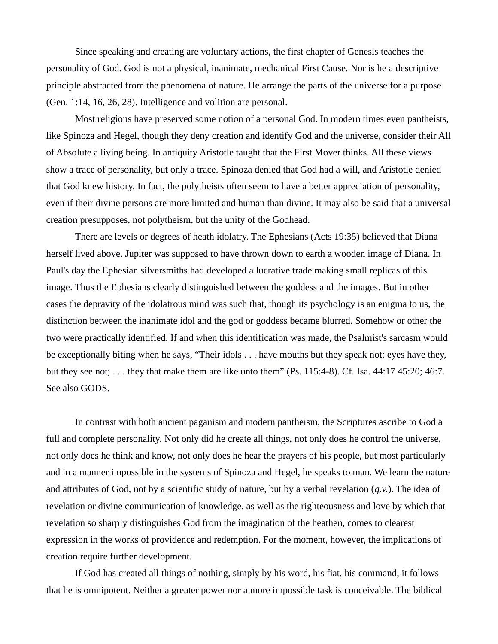Since speaking and creating are voluntary actions, the first chapter of Genesis teaches the personality of God. God is not a physical, inanimate, mechanical First Cause. Nor is he a descriptive principle abstracted from the phenomena of nature. He arrange the parts of the universe for a purpose (Gen. 1:14, 16, 26, 28). Intelligence and volition are personal.

Most religions have preserved some notion of a personal God. In modern times even pantheists, like Spinoza and Hegel, though they deny creation and identify God and the universe, consider their All of Absolute a living being. In antiquity Aristotle taught that the First Mover thinks. All these views show a trace of personality, but only a trace. Spinoza denied that God had a will, and Aristotle denied that God knew history. In fact, the polytheists often seem to have a better appreciation of personality, even if their divine persons are more limited and human than divine. It may also be said that a universal creation presupposes, not polytheism, but the unity of the Godhead.

There are levels or degrees of heath idolatry. The Ephesians (Acts 19:35) believed that Diana herself lived above. Jupiter was supposed to have thrown down to earth a wooden image of Diana. In Paul's day the Ephesian silversmiths had developed a lucrative trade making small replicas of this image. Thus the Ephesians clearly distinguished between the goddess and the images. But in other cases the depravity of the idolatrous mind was such that, though its psychology is an enigma to us, the distinction between the inanimate idol and the god or goddess became blurred. Somehow or other the two were practically identified. If and when this identification was made, the Psalmist's sarcasm would be exceptionally biting when he says, "Their idols . . . have mouths but they speak not; eyes have they, but they see not; . . . they that make them are like unto them" (Ps. 115:4-8). Cf. Isa. 44:17 45:20; 46:7. See also GODS.

In contrast with both ancient paganism and modern pantheism, the Scriptures ascribe to God a full and complete personality. Not only did he create all things, not only does he control the universe, not only does he think and know, not only does he hear the prayers of his people, but most particularly and in a manner impossible in the systems of Spinoza and Hegel, he speaks to man. We learn the nature and attributes of God, not by a scientific study of nature, but by a verbal revelation (*q.v.*). The idea of revelation or divine communication of knowledge, as well as the righteousness and love by which that revelation so sharply distinguishes God from the imagination of the heathen, comes to clearest expression in the works of providence and redemption. For the moment, however, the implications of creation require further development.

If God has created all things of nothing, simply by his word, his fiat, his command, it follows that he is omnipotent. Neither a greater power nor a more impossible task is conceivable. The biblical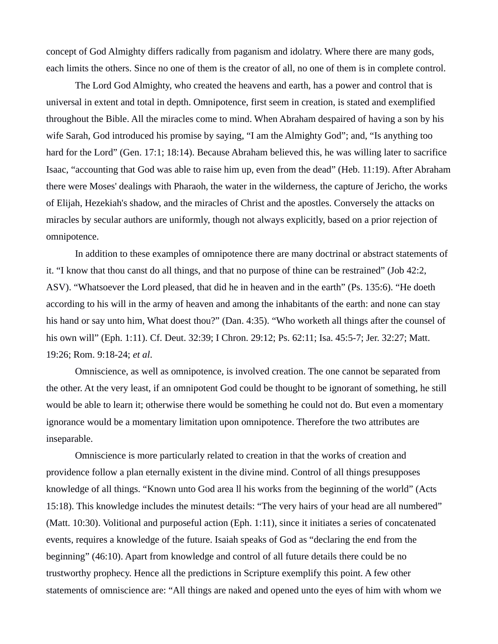concept of God Almighty differs radically from paganism and idolatry. Where there are many gods, each limits the others. Since no one of them is the creator of all, no one of them is in complete control.

The Lord God Almighty, who created the heavens and earth, has a power and control that is universal in extent and total in depth. Omnipotence, first seem in creation, is stated and exemplified throughout the Bible. All the miracles come to mind. When Abraham despaired of having a son by his wife Sarah, God introduced his promise by saying, "I am the Almighty God"; and, "Is anything too hard for the Lord" (Gen. 17:1; 18:14). Because Abraham believed this, he was willing later to sacrifice Isaac, "accounting that God was able to raise him up, even from the dead" (Heb. 11:19). After Abraham there were Moses' dealings with Pharaoh, the water in the wilderness, the capture of Jericho, the works of Elijah, Hezekiah's shadow, and the miracles of Christ and the apostles. Conversely the attacks on miracles by secular authors are uniformly, though not always explicitly, based on a prior rejection of omnipotence.

In addition to these examples of omnipotence there are many doctrinal or abstract statements of it. "I know that thou canst do all things, and that no purpose of thine can be restrained" (Job 42:2, ASV). "Whatsoever the Lord pleased, that did he in heaven and in the earth" (Ps. 135:6). "He doeth according to his will in the army of heaven and among the inhabitants of the earth: and none can stay his hand or say unto him, What doest thou?" (Dan. 4:35). "Who worketh all things after the counsel of his own will" (Eph. 1:11). Cf. Deut. 32:39; I Chron. 29:12; Ps. 62:11; Isa. 45:5-7; Jer. 32:27; Matt. 19:26; Rom. 9:18-24; *et al*.

Omniscience, as well as omnipotence, is involved creation. The one cannot be separated from the other. At the very least, if an omnipotent God could be thought to be ignorant of something, he still would be able to learn it; otherwise there would be something he could not do. But even a momentary ignorance would be a momentary limitation upon omnipotence. Therefore the two attributes are inseparable.

Omniscience is more particularly related to creation in that the works of creation and providence follow a plan eternally existent in the divine mind. Control of all things presupposes knowledge of all things. "Known unto God area ll his works from the beginning of the world" (Acts 15:18). This knowledge includes the minutest details: "The very hairs of your head are all numbered" (Matt. 10:30). Volitional and purposeful action (Eph. 1:11), since it initiates a series of concatenated events, requires a knowledge of the future. Isaiah speaks of God as "declaring the end from the beginning" (46:10). Apart from knowledge and control of all future details there could be no trustworthy prophecy. Hence all the predictions in Scripture exemplify this point. A few other statements of omniscience are: "All things are naked and opened unto the eyes of him with whom we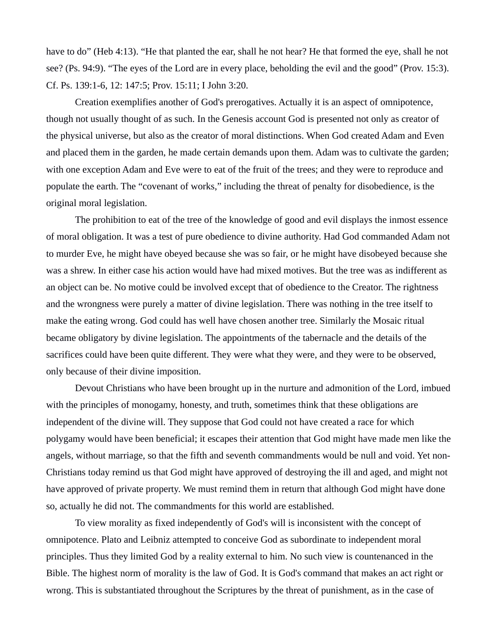have to do" (Heb 4:13). "He that planted the ear, shall he not hear? He that formed the eye, shall he not see? (Ps. 94:9). "The eyes of the Lord are in every place, beholding the evil and the good" (Prov. 15:3). Cf. Ps. 139:1-6, 12: 147:5; Prov. 15:11; I John 3:20.

Creation exemplifies another of God's prerogatives. Actually it is an aspect of omnipotence, though not usually thought of as such. In the Genesis account God is presented not only as creator of the physical universe, but also as the creator of moral distinctions. When God created Adam and Even and placed them in the garden, he made certain demands upon them. Adam was to cultivate the garden; with one exception Adam and Eve were to eat of the fruit of the trees; and they were to reproduce and populate the earth. The "covenant of works," including the threat of penalty for disobedience, is the original moral legislation.

The prohibition to eat of the tree of the knowledge of good and evil displays the inmost essence of moral obligation. It was a test of pure obedience to divine authority. Had God commanded Adam not to murder Eve, he might have obeyed because she was so fair, or he might have disobeyed because she was a shrew. In either case his action would have had mixed motives. But the tree was as indifferent as an object can be. No motive could be involved except that of obedience to the Creator. The rightness and the wrongness were purely a matter of divine legislation. There was nothing in the tree itself to make the eating wrong. God could has well have chosen another tree. Similarly the Mosaic ritual became obligatory by divine legislation. The appointments of the tabernacle and the details of the sacrifices could have been quite different. They were what they were, and they were to be observed, only because of their divine imposition.

Devout Christians who have been brought up in the nurture and admonition of the Lord, imbued with the principles of monogamy, honesty, and truth, sometimes think that these obligations are independent of the divine will. They suppose that God could not have created a race for which polygamy would have been beneficial; it escapes their attention that God might have made men like the angels, without marriage, so that the fifth and seventh commandments would be null and void. Yet non-Christians today remind us that God might have approved of destroying the ill and aged, and might not have approved of private property. We must remind them in return that although God might have done so, actually he did not. The commandments for this world are established.

To view morality as fixed independently of God's will is inconsistent with the concept of omnipotence. Plato and Leibniz attempted to conceive God as subordinate to independent moral principles. Thus they limited God by a reality external to him. No such view is countenanced in the Bible. The highest norm of morality is the law of God. It is God's command that makes an act right or wrong. This is substantiated throughout the Scriptures by the threat of punishment, as in the case of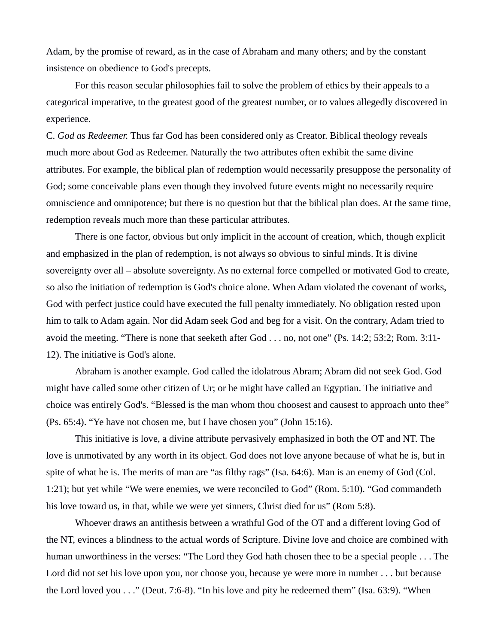Adam, by the promise of reward, as in the case of Abraham and many others; and by the constant insistence on obedience to God's precepts.

For this reason secular philosophies fail to solve the problem of ethics by their appeals to a categorical imperative, to the greatest good of the greatest number, or to values allegedly discovered in experience.

C. *God as Redeemer.* Thus far God has been considered only as Creator. Biblical theology reveals much more about God as Redeemer. Naturally the two attributes often exhibit the same divine attributes. For example, the biblical plan of redemption would necessarily presuppose the personality of God; some conceivable plans even though they involved future events might no necessarily require omniscience and omnipotence; but there is no question but that the biblical plan does. At the same time, redemption reveals much more than these particular attributes.

There is one factor, obvious but only implicit in the account of creation, which, though explicit and emphasized in the plan of redemption, is not always so obvious to sinful minds. It is divine sovereignty over all – absolute sovereignty. As no external force compelled or motivated God to create, so also the initiation of redemption is God's choice alone. When Adam violated the covenant of works, God with perfect justice could have executed the full penalty immediately. No obligation rested upon him to talk to Adam again. Nor did Adam seek God and beg for a visit. On the contrary, Adam tried to avoid the meeting. "There is none that seeketh after God . . . no, not one" (Ps. 14:2; 53:2; Rom. 3:11- 12). The initiative is God's alone.

Abraham is another example. God called the idolatrous Abram; Abram did not seek God. God might have called some other citizen of Ur; or he might have called an Egyptian. The initiative and choice was entirely God's. "Blessed is the man whom thou choosest and causest to approach unto thee" (Ps. 65:4). "Ye have not chosen me, but I have chosen you" (John 15:16).

This initiative is love, a divine attribute pervasively emphasized in both the OT and NT. The love is unmotivated by any worth in its object. God does not love anyone because of what he is, but in spite of what he is. The merits of man are "as filthy rags" (Isa. 64:6). Man is an enemy of God (Col. 1:21); but yet while "We were enemies, we were reconciled to God" (Rom. 5:10). "God commandeth his love toward us, in that, while we were yet sinners, Christ died for us" (Rom 5:8).

Whoever draws an antithesis between a wrathful God of the OT and a different loving God of the NT, evinces a blindness to the actual words of Scripture. Divine love and choice are combined with human unworthiness in the verses: "The Lord they God hath chosen thee to be a special people . . . The Lord did not set his love upon you, nor choose you, because ye were more in number . . . but because the Lord loved you . . ." (Deut. 7:6-8). "In his love and pity he redeemed them" (Isa. 63:9). "When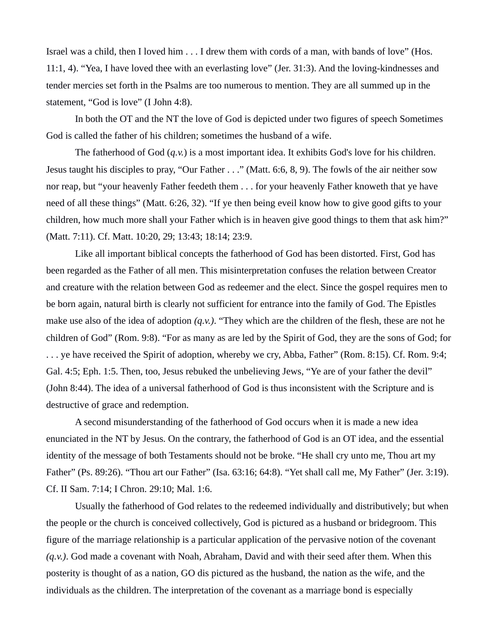Israel was a child, then I loved him . . . I drew them with cords of a man, with bands of love" (Hos. 11:1, 4). "Yea, I have loved thee with an everlasting love" (Jer. 31:3). And the loving-kindnesses and tender mercies set forth in the Psalms are too numerous to mention. They are all summed up in the statement, "God is love" (I John 4:8).

In both the OT and the NT the love of God is depicted under two figures of speech Sometimes God is called the father of his children; sometimes the husband of a wife.

The fatherhood of God (*q.v.*) is a most important idea. It exhibits God's love for his children. Jesus taught his disciples to pray, "Our Father . . ." (Matt. 6:6, 8, 9). The fowls of the air neither sow nor reap, but "your heavenly Father feedeth them . . . for your heavenly Father knoweth that ye have need of all these things" (Matt. 6:26, 32). "If ye then being eveil know how to give good gifts to your children, how much more shall your Father which is in heaven give good things to them that ask him?" (Matt. 7:11). Cf. Matt. 10:20, 29; 13:43; 18:14; 23:9.

Like all important biblical concepts the fatherhood of God has been distorted. First, God has been regarded as the Father of all men. This misinterpretation confuses the relation between Creator and creature with the relation between God as redeemer and the elect. Since the gospel requires men to be born again, natural birth is clearly not sufficient for entrance into the family of God. The Epistles make use also of the idea of adoption *(q.v.)*. "They which are the children of the flesh, these are not he children of God" (Rom. 9:8). "For as many as are led by the Spirit of God, they are the sons of God; for . . . ye have received the Spirit of adoption, whereby we cry, Abba, Father" (Rom. 8:15). Cf. Rom. 9:4; Gal. 4:5; Eph. 1:5. Then, too, Jesus rebuked the unbelieving Jews, "Ye are of your father the devil" (John 8:44). The idea of a universal fatherhood of God is thus inconsistent with the Scripture and is destructive of grace and redemption.

A second misunderstanding of the fatherhood of God occurs when it is made a new idea enunciated in the NT by Jesus. On the contrary, the fatherhood of God is an OT idea, and the essential identity of the message of both Testaments should not be broke. "He shall cry unto me, Thou art my Father" (Ps. 89:26). "Thou art our Father" (Isa. 63:16; 64:8). "Yet shall call me, My Father" (Jer. 3:19). Cf. II Sam. 7:14; I Chron. 29:10; Mal. 1:6.

Usually the fatherhood of God relates to the redeemed individually and distributively; but when the people or the church is conceived collectively, God is pictured as a husband or bridegroom. This figure of the marriage relationship is a particular application of the pervasive notion of the covenant *(q.v.)*. God made a covenant with Noah, Abraham, David and with their seed after them. When this posterity is thought of as a nation, GO dis pictured as the husband, the nation as the wife, and the individuals as the children. The interpretation of the covenant as a marriage bond is especially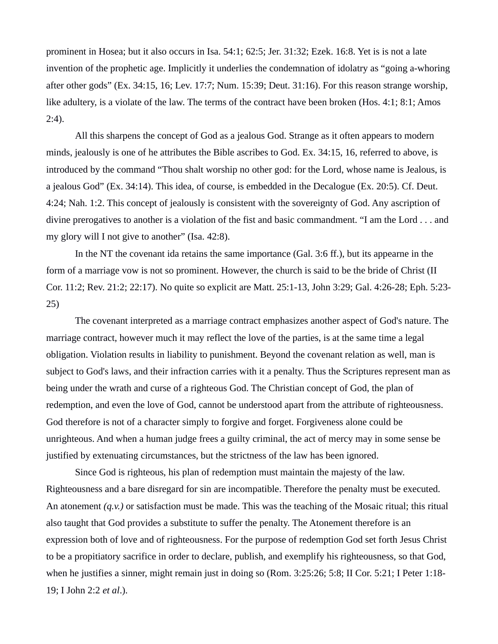prominent in Hosea; but it also occurs in Isa. 54:1; 62:5; Jer. 31:32; Ezek. 16:8. Yet is is not a late invention of the prophetic age. Implicitly it underlies the condemnation of idolatry as "going a-whoring after other gods" (Ex. 34:15, 16; Lev. 17:7; Num. 15:39; Deut. 31:16). For this reason strange worship, like adultery, is a violate of the law. The terms of the contract have been broken (Hos. 4:1; 8:1; Amos 2:4).

All this sharpens the concept of God as a jealous God. Strange as it often appears to modern minds, jealously is one of he attributes the Bible ascribes to God. Ex. 34:15, 16, referred to above, is introduced by the command "Thou shalt worship no other god: for the Lord, whose name is Jealous, is a jealous God" (Ex. 34:14). This idea, of course, is embedded in the Decalogue (Ex. 20:5). Cf. Deut. 4:24; Nah. 1:2. This concept of jealously is consistent with the sovereignty of God. Any ascription of divine prerogatives to another is a violation of the fist and basic commandment. "I am the Lord . . . and my glory will I not give to another" (Isa. 42:8).

In the NT the covenant ida retains the same importance (Gal. 3:6 ff.), but its appearne in the form of a marriage vow is not so prominent. However, the church is said to be the bride of Christ (II Cor. 11:2; Rev. 21:2; 22:17). No quite so explicit are Matt. 25:1-13, John 3:29; Gal. 4:26-28; Eph. 5:23- 25)

The covenant interpreted as a marriage contract emphasizes another aspect of God's nature. The marriage contract, however much it may reflect the love of the parties, is at the same time a legal obligation. Violation results in liability to punishment. Beyond the covenant relation as well, man is subject to God's laws, and their infraction carries with it a penalty. Thus the Scriptures represent man as being under the wrath and curse of a righteous God. The Christian concept of God, the plan of redemption, and even the love of God, cannot be understood apart from the attribute of righteousness. God therefore is not of a character simply to forgive and forget. Forgiveness alone could be unrighteous. And when a human judge frees a guilty criminal, the act of mercy may in some sense be justified by extenuating circumstances, but the strictness of the law has been ignored.

Since God is righteous, his plan of redemption must maintain the majesty of the law. Righteousness and a bare disregard for sin are incompatible. Therefore the penalty must be executed. An atonement *(q.v.)* or satisfaction must be made. This was the teaching of the Mosaic ritual; this ritual also taught that God provides a substitute to suffer the penalty. The Atonement therefore is an expression both of love and of righteousness. For the purpose of redemption God set forth Jesus Christ to be a propitiatory sacrifice in order to declare, publish, and exemplify his righteousness, so that God, when he justifies a sinner, might remain just in doing so (Rom. 3:25:26; 5:8; II Cor. 5:21; I Peter 1:18-19; I John 2:2 *et al*.).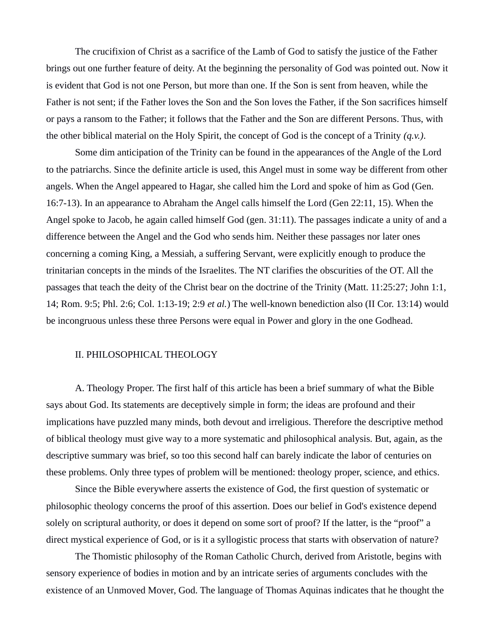The crucifixion of Christ as a sacrifice of the Lamb of God to satisfy the justice of the Father brings out one further feature of deity. At the beginning the personality of God was pointed out. Now it is evident that God is not one Person, but more than one. If the Son is sent from heaven, while the Father is not sent; if the Father loves the Son and the Son loves the Father, if the Son sacrifices himself or pays a ransom to the Father; it follows that the Father and the Son are different Persons. Thus, with the other biblical material on the Holy Spirit, the concept of God is the concept of a Trinity *(q.v.)*.

Some dim anticipation of the Trinity can be found in the appearances of the Angle of the Lord to the patriarchs. Since the definite article is used, this Angel must in some way be different from other angels. When the Angel appeared to Hagar, she called him the Lord and spoke of him as God (Gen. 16:7-13). In an appearance to Abraham the Angel calls himself the Lord (Gen 22:11, 15). When the Angel spoke to Jacob, he again called himself God (gen. 31:11). The passages indicate a unity of and a difference between the Angel and the God who sends him. Neither these passages nor later ones concerning a coming King, a Messiah, a suffering Servant, were explicitly enough to produce the trinitarian concepts in the minds of the Israelites. The NT clarifies the obscurities of the OT. All the passages that teach the deity of the Christ bear on the doctrine of the Trinity (Matt. 11:25:27; John 1:1, 14; Rom. 9:5; Phl. 2:6; Col. 1:13-19; 2:9 *et al.*) The well-known benediction also (II Cor. 13:14) would be incongruous unless these three Persons were equal in Power and glory in the one Godhead.

## II. PHILOSOPHICAL THEOLOGY

A. Theology Proper. The first half of this article has been a brief summary of what the Bible says about God. Its statements are deceptively simple in form; the ideas are profound and their implications have puzzled many minds, both devout and irreligious. Therefore the descriptive method of biblical theology must give way to a more systematic and philosophical analysis. But, again, as the descriptive summary was brief, so too this second half can barely indicate the labor of centuries on these problems. Only three types of problem will be mentioned: theology proper, science, and ethics.

Since the Bible everywhere asserts the existence of God, the first question of systematic or philosophic theology concerns the proof of this assertion. Does our belief in God's existence depend solely on scriptural authority, or does it depend on some sort of proof? If the latter, is the "proof" a direct mystical experience of God, or is it a syllogistic process that starts with observation of nature?

The Thomistic philosophy of the Roman Catholic Church, derived from Aristotle, begins with sensory experience of bodies in motion and by an intricate series of arguments concludes with the existence of an Unmoved Mover, God. The language of Thomas Aquinas indicates that he thought the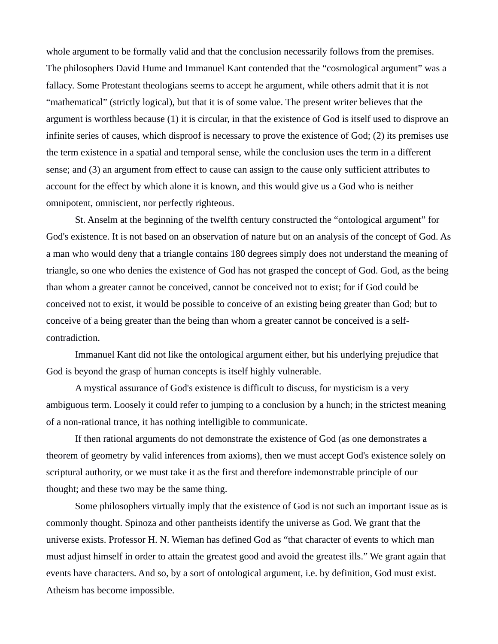whole argument to be formally valid and that the conclusion necessarily follows from the premises. The philosophers David Hume and Immanuel Kant contended that the "cosmological argument" was a fallacy. Some Protestant theologians seems to accept he argument, while others admit that it is not "mathematical" (strictly logical), but that it is of some value. The present writer believes that the argument is worthless because (1) it is circular, in that the existence of God is itself used to disprove an infinite series of causes, which disproof is necessary to prove the existence of God; (2) its premises use the term existence in a spatial and temporal sense, while the conclusion uses the term in a different sense; and (3) an argument from effect to cause can assign to the cause only sufficient attributes to account for the effect by which alone it is known, and this would give us a God who is neither omnipotent, omniscient, nor perfectly righteous.

St. Anselm at the beginning of the twelfth century constructed the "ontological argument" for God's existence. It is not based on an observation of nature but on an analysis of the concept of God. As a man who would deny that a triangle contains 180 degrees simply does not understand the meaning of triangle, so one who denies the existence of God has not grasped the concept of God. God, as the being than whom a greater cannot be conceived, cannot be conceived not to exist; for if God could be conceived not to exist, it would be possible to conceive of an existing being greater than God; but to conceive of a being greater than the being than whom a greater cannot be conceived is a selfcontradiction.

Immanuel Kant did not like the ontological argument either, but his underlying prejudice that God is beyond the grasp of human concepts is itself highly vulnerable.

A mystical assurance of God's existence is difficult to discuss, for mysticism is a very ambiguous term. Loosely it could refer to jumping to a conclusion by a hunch; in the strictest meaning of a non-rational trance, it has nothing intelligible to communicate.

If then rational arguments do not demonstrate the existence of God (as one demonstrates a theorem of geometry by valid inferences from axioms), then we must accept God's existence solely on scriptural authority, or we must take it as the first and therefore indemonstrable principle of our thought; and these two may be the same thing.

Some philosophers virtually imply that the existence of God is not such an important issue as is commonly thought. Spinoza and other pantheists identify the universe as God. We grant that the universe exists. Professor H. N. Wieman has defined God as "that character of events to which man must adjust himself in order to attain the greatest good and avoid the greatest ills." We grant again that events have characters. And so, by a sort of ontological argument, i.e. by definition, God must exist. Atheism has become impossible.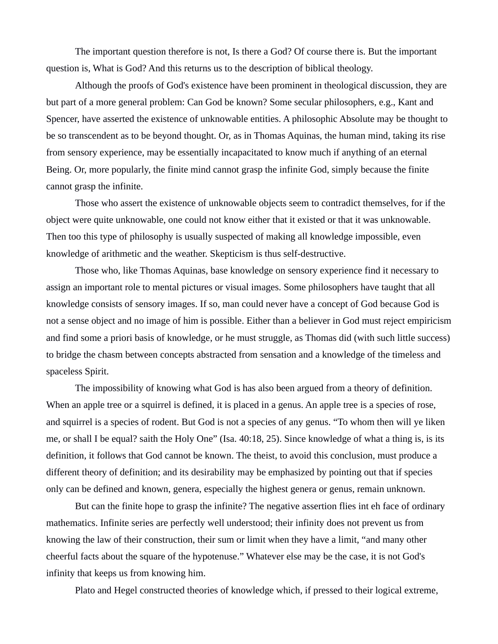The important question therefore is not, Is there a God? Of course there is. But the important question is, What is God? And this returns us to the description of biblical theology.

Although the proofs of God's existence have been prominent in theological discussion, they are but part of a more general problem: Can God be known? Some secular philosophers, e.g., Kant and Spencer, have asserted the existence of unknowable entities. A philosophic Absolute may be thought to be so transcendent as to be beyond thought. Or, as in Thomas Aquinas, the human mind, taking its rise from sensory experience, may be essentially incapacitated to know much if anything of an eternal Being. Or, more popularly, the finite mind cannot grasp the infinite God, simply because the finite cannot grasp the infinite.

Those who assert the existence of unknowable objects seem to contradict themselves, for if the object were quite unknowable, one could not know either that it existed or that it was unknowable. Then too this type of philosophy is usually suspected of making all knowledge impossible, even knowledge of arithmetic and the weather. Skepticism is thus self-destructive.

Those who, like Thomas Aquinas, base knowledge on sensory experience find it necessary to assign an important role to mental pictures or visual images. Some philosophers have taught that all knowledge consists of sensory images. If so, man could never have a concept of God because God is not a sense object and no image of him is possible. Either than a believer in God must reject empiricism and find some a priori basis of knowledge, or he must struggle, as Thomas did (with such little success) to bridge the chasm between concepts abstracted from sensation and a knowledge of the timeless and spaceless Spirit.

The impossibility of knowing what God is has also been argued from a theory of definition. When an apple tree or a squirrel is defined, it is placed in a genus. An apple tree is a species of rose, and squirrel is a species of rodent. But God is not a species of any genus. "To whom then will ye liken me, or shall I be equal? saith the Holy One" (Isa. 40:18, 25). Since knowledge of what a thing is, is its definition, it follows that God cannot be known. The theist, to avoid this conclusion, must produce a different theory of definition; and its desirability may be emphasized by pointing out that if species only can be defined and known, genera, especially the highest genera or genus, remain unknown.

But can the finite hope to grasp the infinite? The negative assertion flies int eh face of ordinary mathematics. Infinite series are perfectly well understood; their infinity does not prevent us from knowing the law of their construction, their sum or limit when they have a limit, "and many other cheerful facts about the square of the hypotenuse." Whatever else may be the case, it is not God's infinity that keeps us from knowing him.

Plato and Hegel constructed theories of knowledge which, if pressed to their logical extreme,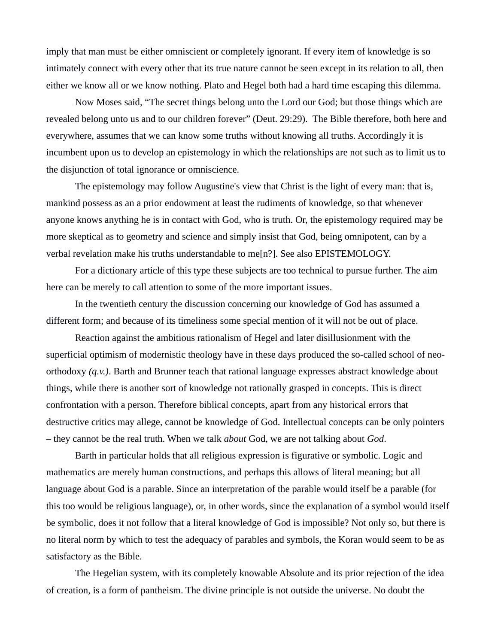imply that man must be either omniscient or completely ignorant. If every item of knowledge is so intimately connect with every other that its true nature cannot be seen except in its relation to all, then either we know all or we know nothing. Plato and Hegel both had a hard time escaping this dilemma.

Now Moses said, "The secret things belong unto the Lord our God; but those things which are revealed belong unto us and to our children forever" (Deut. 29:29). The Bible therefore, both here and everywhere, assumes that we can know some truths without knowing all truths. Accordingly it is incumbent upon us to develop an epistemology in which the relationships are not such as to limit us to the disjunction of total ignorance or omniscience.

The epistemology may follow Augustine's view that Christ is the light of every man: that is, mankind possess as an a prior endowment at least the rudiments of knowledge, so that whenever anyone knows anything he is in contact with God, who is truth. Or, the epistemology required may be more skeptical as to geometry and science and simply insist that God, being omnipotent, can by a verbal revelation make his truths understandable to me[n?]. See also EPISTEMOLOGY.

For a dictionary article of this type these subjects are too technical to pursue further. The aim here can be merely to call attention to some of the more important issues.

In the twentieth century the discussion concerning our knowledge of God has assumed a different form; and because of its timeliness some special mention of it will not be out of place.

Reaction against the ambitious rationalism of Hegel and later disillusionment with the superficial optimism of modernistic theology have in these days produced the so-called school of neoorthodoxy *(q.v.)*. Barth and Brunner teach that rational language expresses abstract knowledge about things, while there is another sort of knowledge not rationally grasped in concepts. This is direct confrontation with a person. Therefore biblical concepts, apart from any historical errors that destructive critics may allege, cannot be knowledge of God. Intellectual concepts can be only pointers – they cannot be the real truth. When we talk *about* God, we are not talking about *God*.

Barth in particular holds that all religious expression is figurative or symbolic. Logic and mathematics are merely human constructions, and perhaps this allows of literal meaning; but all language about God is a parable. Since an interpretation of the parable would itself be a parable (for this too would be religious language), or, in other words, since the explanation of a symbol would itself be symbolic, does it not follow that a literal knowledge of God is impossible? Not only so, but there is no literal norm by which to test the adequacy of parables and symbols, the Koran would seem to be as satisfactory as the Bible.

The Hegelian system, with its completely knowable Absolute and its prior rejection of the idea of creation, is a form of pantheism. The divine principle is not outside the universe. No doubt the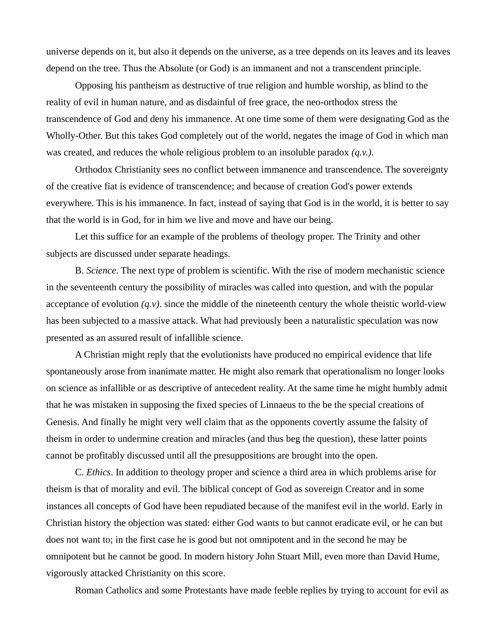universe depends on it, but also it depends on the universe, as a tree depends on its leaves and its leaves depend on the tree. Thus the Absolute (or God) is an immanent and not a transcendent principle.

Opposing his pantheism as destructive of true religion and humble worship, as blind to the reality of evil in human nature, and as disdainful of free grace, the neo-orthodox stress the transcendence of God and deny his immanence. At one time some of them were designating God as the Wholly-Other. But this takes God completely out of the world, negates the image of God in which man was created, and reduces the whole religious problem to an insoluble paradox *(q.v.)*.

Orthodox Christianity sees no conflict between immanence and transcendence. The sovereignty of the creative fiat is evidence of transcendence; and because of creation God's power extends everywhere. This is his immanence. In fact, instead of saying that God is in the world, it is better to say that the world is in God, for in him we live and move and have our being.

Let this suffice for an example of the problems of theology proper. The Trinity and other subjects are discussed under separate headings.

B. *Science*. The next type of problem is scientific. With the rise of modern mechanistic science in the seventeenth century the possibility of miracles was called into question, and with the popular acceptance of evolution *(q.v)*. since the middle of the nineteenth century the whole theistic world-view has been subjected to a massive attack. What had previously been a naturalistic speculation was now presented as an assured result of infallible science.

A Christian might reply that the evolutionists have produced no empirical evidence that life spontaneously arose from inanimate matter. He might also remark that operationalism no longer looks on science as infallible or as descriptive of antecedent reality. At the same time he might humbly admit that he was mistaken in supposing the fixed species of Linnaeus to the be the special creations of Genesis. And finally he might very well claim that as the opponents covertly assume the falsity of theism in order to undermine creation and miracles (and thus beg the question), these latter points cannot be profitably discussed until all the presuppositions are brought into the open.

C. *Ethics*. In addition to theology proper and science a third area in which problems arise for theism is that of morality and evil. The biblical concept of God as sovereign Creator and in some instances all concepts of God have been repudiated because of the manifest evil in the world. Early in Christian history the objection was stated: either God wants to but cannot eradicate evil, or he can but does not want to; in the first case he is good but not omnipotent and in the second he may be omnipotent but he cannot be good. In modern history John Stuart Mill, even more than David Hume, vigorously attacked Christianity on this score.

Roman Catholics and some Protestants have made feeble replies by trying to account for evil as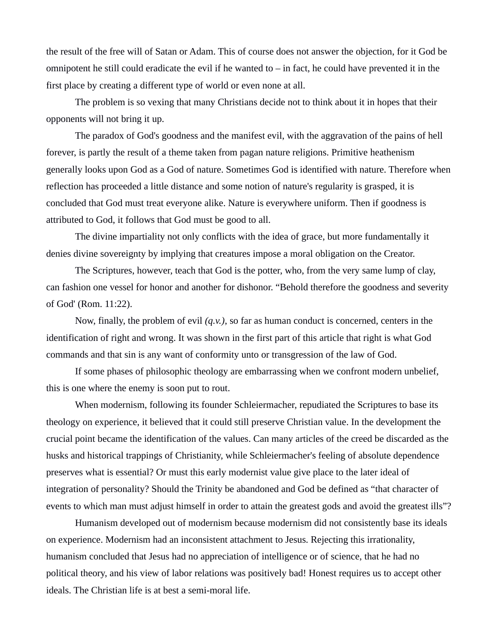the result of the free will of Satan or Adam. This of course does not answer the objection, for it God be omnipotent he still could eradicate the evil if he wanted to  $-$  in fact, he could have prevented it in the first place by creating a different type of world or even none at all.

The problem is so vexing that many Christians decide not to think about it in hopes that their opponents will not bring it up.

The paradox of God's goodness and the manifest evil, with the aggravation of the pains of hell forever, is partly the result of a theme taken from pagan nature religions. Primitive heathenism generally looks upon God as a God of nature. Sometimes God is identified with nature. Therefore when reflection has proceeded a little distance and some notion of nature's regularity is grasped, it is concluded that God must treat everyone alike. Nature is everywhere uniform. Then if goodness is attributed to God, it follows that God must be good to all.

The divine impartiality not only conflicts with the idea of grace, but more fundamentally it denies divine sovereignty by implying that creatures impose a moral obligation on the Creator.

The Scriptures, however, teach that God is the potter, who, from the very same lump of clay, can fashion one vessel for honor and another for dishonor. "Behold therefore the goodness and severity of God' (Rom. 11:22).

Now, finally, the problem of evil *(q.v.)*, so far as human conduct is concerned, centers in the identification of right and wrong. It was shown in the first part of this article that right is what God commands and that sin is any want of conformity unto or transgression of the law of God.

If some phases of philosophic theology are embarrassing when we confront modern unbelief, this is one where the enemy is soon put to rout.

When modernism, following its founder Schleiermacher, repudiated the Scriptures to base its theology on experience, it believed that it could still preserve Christian value. In the development the crucial point became the identification of the values. Can many articles of the creed be discarded as the husks and historical trappings of Christianity, while Schleiermacher's feeling of absolute dependence preserves what is essential? Or must this early modernist value give place to the later ideal of integration of personality? Should the Trinity be abandoned and God be defined as "that character of events to which man must adjust himself in order to attain the greatest gods and avoid the greatest ills"?

Humanism developed out of modernism because modernism did not consistently base its ideals on experience. Modernism had an inconsistent attachment to Jesus. Rejecting this irrationality, humanism concluded that Jesus had no appreciation of intelligence or of science, that he had no political theory, and his view of labor relations was positively bad! Honest requires us to accept other ideals. The Christian life is at best a semi-moral life.